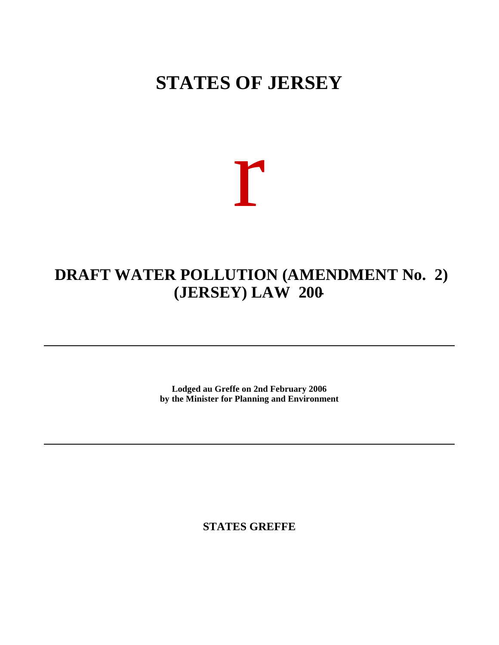# **STATES OF JERSEY**

r

# **DRAFT WATER POLLUTION (AMENDMENT No. 2) (JERSEY) LAW 200-**

**Lodged au Greffe on 2nd February 2006 by the Minister for Planning and Environment**

**STATES GREFFE**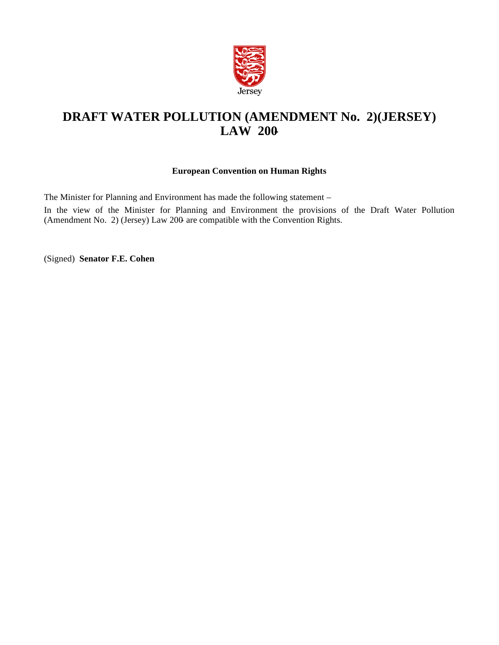

# **DRAFT WATER POLLUTION (AMENDMENT No. 2) (JERSEY) LAW 200-**

# **European Convention on Human Rights**

The Minister for Planning and Environment has made the following statement –

In the view of the Minister for Planning and Environment the provisions of the Draft Water Pollution (Amendment No. 2) (Jersey) Law 200- are compatible with the Convention Rights.

(Signed) **Senator F.E. Cohen**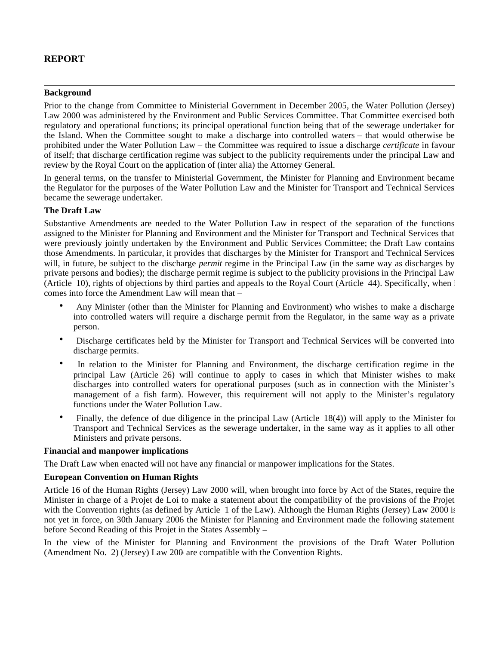# **REPORT**

#### **Background**

Prior to the change from Committee to Ministerial Government in December 2005, the Water Pollution (Jersey) Law 2000 was administered by the Environment and Public Services Committee. That Committee exercised both regulatory and operational functions; its principal operational function being that of the sewerage undertaker for the Island. When the Committee sought to make a discharge into controlled waters – that would otherwise be prohibited under the Water Pollution Law – the Committee was required to issue a discharge *certificate* in favour of itself; that discharge certification regime was subject to the publicity requirements under the principal Law and review by the Royal Court on the application of (inter alia) the Attorney General.

In general terms, on the transfer to Ministerial Government, the Minister for Planning and Environment became the Regulator for the purposes of the Water Pollution Law and the Minister for Transport and Technical Services became the sewerage undertaker.

## **The Draft Law**

Substantive Amendments are needed to the Water Pollution Law in respect of the separation of the functions assigned to the Minister for Planning and Environment and the Minister for Transport and Technical Services that were previously jointly undertaken by the Environment and Public Services Committee; the Draft Law contains those Amendments. In particular, it provides that discharges by the Minister for Transport and Technical Services will, in future, be subject to the discharge *permit* regime in the Principal Law (in the same way as discharges by private persons and bodies); the discharge permit regime is subject to the publicity provisions in the Principal Law (Article 10), rights of objections by third parties and appeals to the Royal Court (Article 44). Specifically, when  $\overline{i}$ comes into force the Amendment Law will mean that –

- Any Minister (other than the Minister for Planning and Environment) who wishes to make a discharge into controlled waters will require a discharge permit from the Regulator, in the same way as a private person.
- Discharge certificates held by the Minister for Transport and Technical Services will be converted into discharge permits.
- In relation to the Minister for Planning and Environment, the discharge certification regime in the principal Law (Article 26) will continue to apply to cases in which that Minister wishes to make discharges into controlled waters for operational purposes (such as in connection with the Minister's management of a fish farm). However, this requirement will not apply to the Minister's regulatory functions under the Water Pollution Law.
- Finally, the defence of due diligence in the principal Law (Article 18(4)) will apply to the Minister for Transport and Technical Services as the sewerage undertaker, in the same way as it applies to all other Ministers and private persons.

#### **Financial and manpower implications**

The Draft Law when enacted will not have any financial or manpower implications for the States.

## **European Convention on Human Rights**

Article 16 of the Human Rights (Jersey) Law 2000 will, when brought into force by Act of the States, require the Minister in charge of a Projet de Loi to make a statement about the compatibility of the provisions of the Projet with the Convention rights (as defined by Article 1 of the Law). Although the Human Rights (Jersey) Law 2000 is not yet in force, on 30th January 2006 the Minister for Planning and Environment made the following statement before Second Reading of this Projet in the States Assembly –

In the view of the Minister for Planning and Environment the provisions of the Draft Water Pollution (Amendment No. 2) (Jersey) Law 200- are compatible with the Convention Rights.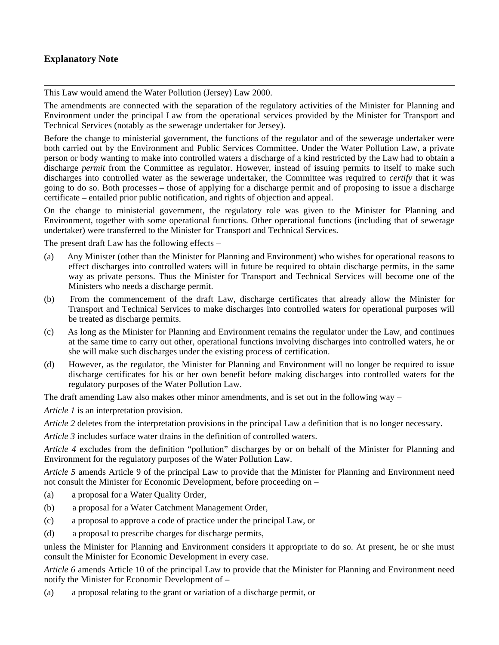# **Explanatory Note**

This Law would amend the Water Pollution (Jersey) Law 2000.

The amendments are connected with the separation of the regulatory activities of the Minister for Planning and Environment under the principal Law from the operational services provided by the Minister for Transport and Technical Services (notably as the sewerage undertaker for Jersey).

Before the change to ministerial government, the functions of the regulator and of the sewerage undertaker were both carried out by the Environment and Public Services Committee. Under the Water Pollution Law, a private person or body wanting to make into controlled waters a discharge of a kind restricted by the Law had to obtain a discharge *permit* from the Committee as regulator. However, instead of issuing permits to itself to make such discharges into controlled water as the sewerage undertaker, the Committee was required to *certify* that it was going to do so. Both processes – those of applying for a discharge permit and of proposing to issue a discharge certificate – entailed prior public notification, and rights of objection and appeal.

On the change to ministerial government, the regulatory role was given to the Minister for Planning and Environment, together with some operational functions. Other operational functions (including that of sewerage undertaker) were transferred to the Minister for Transport and Technical Services.

The present draft Law has the following effects –

- (a) Any Minister (other than the Minister for Planning and Environment) who wishes for operational reasons to effect discharges into controlled waters will in future be required to obtain discharge permits, in the same way as private persons. Thus the Minister for Transport and Technical Services will become one of the Ministers who needs a discharge permit.
- (b) From the commencement of the draft Law, discharge certificates that already allow the Minister for Transport and Technical Services to make discharges into controlled waters for operational purposes will be treated as discharge permits.
- (c) As long as the Minister for Planning and Environment remains the regulator under the Law, and continues at the same time to carry out other, operational functions involving discharges into controlled waters, he or she will make such discharges under the existing process of certification.
- (d) However, as the regulator, the Minister for Planning and Environment will no longer be required to issue discharge certificates for his or her own benefit before making discharges into controlled waters for the regulatory purposes of the Water Pollution Law.

The draft amending Law also makes other minor amendments, and is set out in the following way –

*Article 1* is an interpretation provision.

*Article 2* deletes from the interpretation provisions in the principal Law a definition that is no longer necessary.

*Article 3* includes surface water drains in the definition of controlled waters.

*Article 4* excludes from the definition "pollution" discharges by or on behalf of the Minister for Planning and Environment for the regulatory purposes of the Water Pollution Law.

*Article 5* amends Article 9 of the principal Law to provide that the Minister for Planning and Environment need not consult the Minister for Economic Development, before proceeding on –

- (a) a proposal for a Water Quality Order,
- (b) a proposal for a Water Catchment Management Order,
- (c) a proposal to approve a code of practice under the principal Law, or
- (d) a proposal to prescribe charges for discharge permits,

unless the Minister for Planning and Environment considers it appropriate to do so. At present, he or she must consult the Minister for Economic Development in every case.

*Article 6* amends Article 10 of the principal Law to provide that the Minister for Planning and Environment need notify the Minister for Economic Development of –

(a) a proposal relating to the grant or variation of a discharge permit, or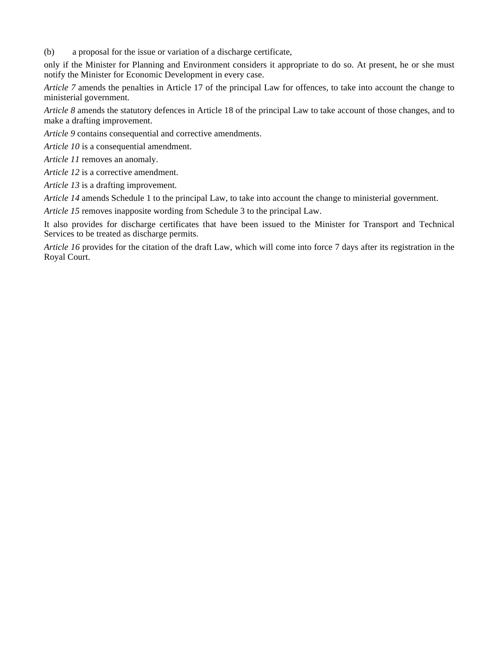(b) a proposal for the issue or variation of a discharge certificate,

only if the Minister for Planning and Environment considers it appropriate to do so. At present, he or she must notify the Minister for Economic Development in every case.

*Article 7* amends the penalties in Article 17 of the principal Law for offences, to take into account the change to ministerial government.

*Article 8* amends the statutory defences in Article 18 of the principal Law to take account of those changes, and to make a drafting improvement.

*Article 9* contains consequential and corrective amendments.

*Article 10* is a consequential amendment.

*Article 11* removes an anomaly.

*Article 12* is a corrective amendment.

*Article 13* is a drafting improvement.

*Article 14* amends Schedule 1 to the principal Law, to take into account the change to ministerial government.

*Article 15* removes inapposite wording from Schedule 3 to the principal Law.

It also provides for discharge certificates that have been issued to the Minister for Transport and Technical Services to be treated as discharge permits.

*Article 16* provides for the citation of the draft Law, which will come into force 7 days after its registration in the Royal Court.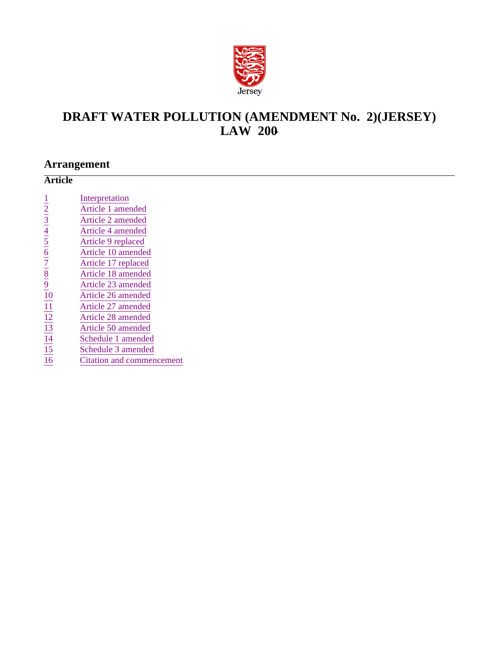

# **DRAFT WATER POLLUTION (AMENDMENT No. 2) (JERSEY) LAW 200-**

# **Arrangement**

| <b>Article</b>                                                                                                   |                           |
|------------------------------------------------------------------------------------------------------------------|---------------------------|
|                                                                                                                  |                           |
|                                                                                                                  | Interpretation            |
|                                                                                                                  | Article 1 amended         |
|                                                                                                                  | Article 2 amended         |
|                                                                                                                  | Article 4 amended         |
| $\frac{1}{2}$ $\frac{3}{3}$ $\frac{4}{4}$ $\frac{5}{5}$ $\frac{6}{7}$ $\frac{7}{8}$ $\frac{8}{9}$ $\frac{9}{10}$ | Article 9 replaced        |
|                                                                                                                  | Article 10 amended        |
|                                                                                                                  | Article 17 replaced       |
|                                                                                                                  | Article 18 amended        |
|                                                                                                                  | Article 23 amended        |
|                                                                                                                  | Article 26 amended        |
|                                                                                                                  | Article 27 amended        |
|                                                                                                                  | Article 28 amended        |
|                                                                                                                  | Article 50 amended        |
|                                                                                                                  | Schedule 1 amended        |
| $\frac{11}{12}$<br>$\frac{12}{13}$<br>$\frac{14}{15}$                                                            | Schedule 3 amended        |
| $\overline{16}$                                                                                                  | Citation and commencement |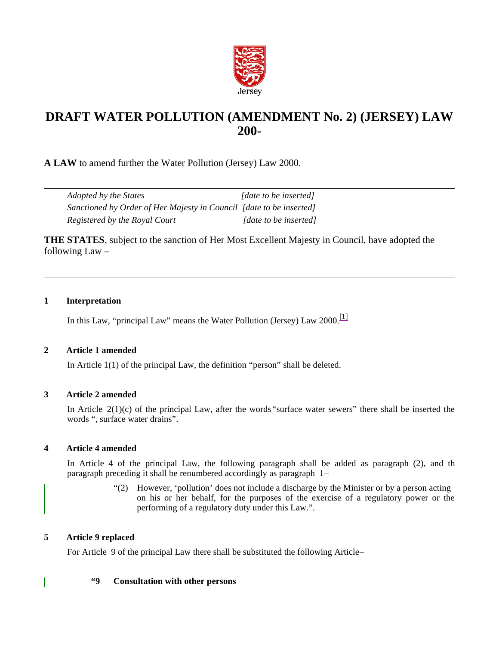

# **DRAFT WATER POLLUTION (AMENDMENT No. 2) (JERSEY) LAW 200-**

**A LAW** to amend further the Water Pollution (Jersey) Law 2000.

| Adopted by the States                                               | [date to be inserted]       |
|---------------------------------------------------------------------|-----------------------------|
| Sanctioned by Order of Her Majesty in Council [date to be inserted] |                             |
| Registered by the Royal Court                                       | <i>date to be insertedl</i> |

**THE STATES**, subject to the sanction of Her Most Excellent Majesty in Council, have adopted the following Law –

# **1 Interpretation**

In this Law, "principal Law" means the Water Pollution (Jersey) Law  $2000$ .<sup>[1]</sup>

# **2 Article 1 amended**

In Article 1(1) of the principal Law, the definition "person" shall be deleted.

## **3 Article 2 amended**

In Article 2(1)(c) of the principal Law, after the words "surface water sewers" there shall be inserted the words ", surface water drains".

# **4 Article 4 amended**

In Article 4 of the principal Law, the following paragraph shall be added as paragraph (2), and th paragraph preceding it shall be renumbered accordingly as paragraph  $1-$ 

> "(2) However, 'pollution' does not include a discharge by the Minister or by a person acting on his or her behalf, for the purposes of the exercise of a regulatory power or the performing of a regulatory duty under this Law.".

# **5 Article 9 replaced**

I

For Article 9 of the principal Law there shall be substituted the following Article –

## **"9 Consultation with other persons**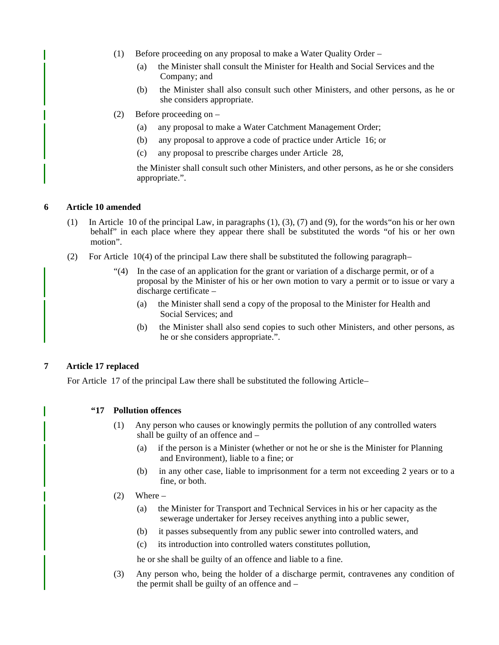- (1) Before proceeding on any proposal to make a Water Quality Order
	- (a) the Minister shall consult the Minister for Health and Social Services and the Company; and
	- (b) the Minister shall also consult such other Ministers, and other persons, as he or she considers appropriate.
- (2) Before proceeding on
	- (a) any proposal to make a Water Catchment Management Order;
	- (b) any proposal to approve a code of practice under Article 16; or
	- (c) any proposal to prescribe charges under Article 28,

the Minister shall consult such other Ministers, and other persons, as he or she considers appropriate.".

#### **6 Article 10 amended**

- (1) In Article 10 of the principal Law, in paragraphs (1), (3), (7) and (9), for the words"on his or her own behalf" in each place where they appear there shall be substituted the words "of his or her own motion".
- (2) For Article  $10(4)$  of the principal Law there shall be substituted the following paragraph-
	- "(4) In the case of an application for the grant or variation of a discharge permit, or of a proposal by the Minister of his or her own motion to vary a permit or to issue or vary a discharge certificate –
		- (a) the Minister shall send a copy of the proposal to the Minister for Health and Social Services; and
		- (b) the Minister shall also send copies to such other Ministers, and other persons, as he or she considers appropriate.".

## **7 Article 17 replaced**

For Article 17 of the principal Law there shall be substituted the following Article –

#### **"17 Pollution offences**

- (1) Any person who causes or knowingly permits the pollution of any controlled waters shall be guilty of an offence and –
	- (a) if the person is a Minister (whether or not he or she is the Minister for Planning and Environment), liable to a fine; or
	- (b) in any other case, liable to imprisonment for a term not exceeding 2 years or to a fine, or both.
- $(2)$  Where
	- (a) the Minister for Transport and Technical Services in his or her capacity as the sewerage undertaker for Jersey receives anything into a public sewer,
	- (b) it passes subsequently from any public sewer into controlled waters, and
	- (c) its introduction into controlled waters constitutes pollution,

he or she shall be guilty of an offence and liable to a fine.

(3) Any person who, being the holder of a discharge permit, contravenes any condition of the permit shall be guilty of an offence and –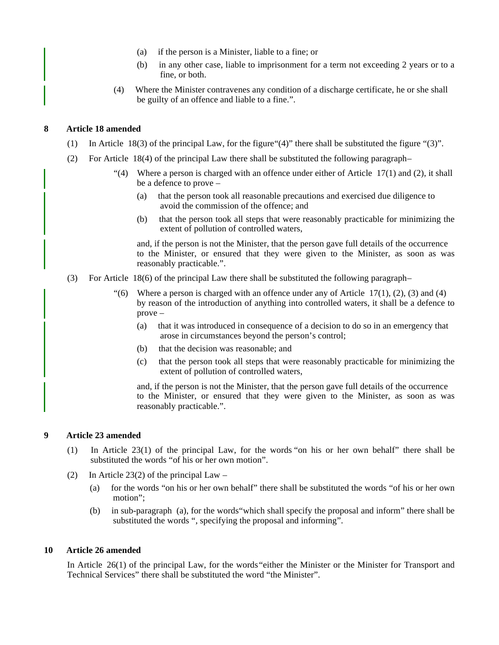- (a) if the person is a Minister, liable to a fine; or
- (b) in any other case, liable to imprisonment for a term not exceeding 2 years or to a fine, or both.
- (4) Where the Minister contravenes any condition of a discharge certificate, he or she shall be guilty of an offence and liable to a fine.".

#### **8 Article 18 amended**

- (1) In Article 18(3) of the principal Law, for the figure"(4)" there shall be substituted the figure "(3)".
- (2) For Article 18(4) of the principal Law there shall be substituted the following paragraph-
	- "(4) Where a person is charged with an offence under either of Article  $17(1)$  and (2), it shall be a defence to prove –
		- (a) that the person took all reasonable precautions and exercised due diligence to avoid the commission of the offence; and
		- (b) that the person took all steps that were reasonably practicable for minimizing the extent of pollution of controlled waters,

and, if the person is not the Minister, that the person gave full details of the occurrence to the Minister, or ensured that they were given to the Minister, as soon as was reasonably practicable.".

(3) For Article 18(6) of the principal Law there shall be substituted the following paragraph –

"(6) Where a person is charged with an offence under any of Article  $17(1)$ ,  $(2)$ ,  $(3)$  and  $(4)$ by reason of the introduction of anything into controlled waters, it shall be a defence to prove –

- (a) that it was introduced in consequence of a decision to do so in an emergency that arose in circumstances beyond the person's control;
- (b) that the decision was reasonable; and
- (c) that the person took all steps that were reasonably practicable for minimizing the extent of pollution of controlled waters,

and, if the person is not the Minister, that the person gave full details of the occurrence to the Minister, or ensured that they were given to the Minister, as soon as was reasonably practicable.".

#### **9 Article 23 amended**

- (1) In Article 23(1) of the principal Law, for the words "on his or her own behalf" there shall be substituted the words "of his or her own motion".
- (2) In Article 23(2) of the principal Law
	- (a) for the words "on his or her own behalf" there shall be substituted the words "of his or her own motion";
	- (b) in sub-paragraph (a), for the words"which shall specify the proposal and inform" there shall be substituted the words ", specifying the proposal and informing".

#### **10 Article 26 amended**

In Article 26(1) of the principal Law, for the words"either the Minister or the Minister for Transport and Technical Services" there shall be substituted the word "the Minister".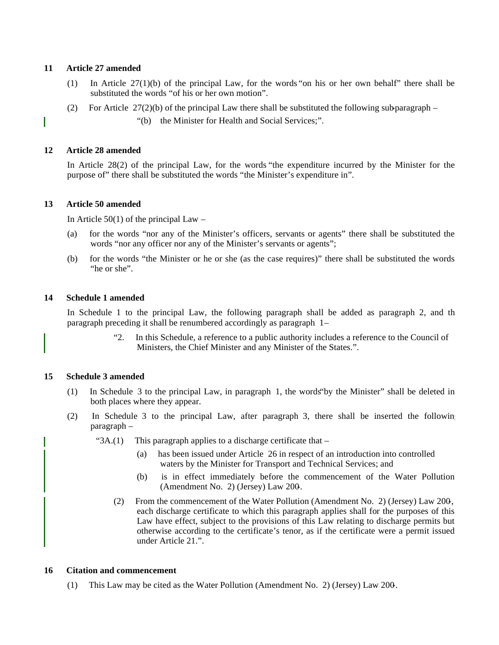#### **11 Article 27 amended**

- (1) In Article 27(1)(b) of the principal Law, for the words "on his or her own behalf" there shall be substituted the words "of his or her own motion".
- (2) For Article  $27(2)(b)$  of the principal Law there shall be substituted the following sub-paragraph
	- "(b) the Minister for Health and Social Services;".

#### **12 Article 28 amended**

In Article 28(2) of the principal Law, for the words "the expenditure incurred by the Minister for the purpose of" there shall be substituted the words "the Minister's expenditure in".

#### **13 Article 50 amended**

In Article  $50(1)$  of the principal Law –

- (a) for the words "nor any of the Minister's officers, servants or agents" there shall be substituted the words "nor any officer nor any of the Minister's servants or agents";
- (b) for the words "the Minister or he or she (as the case requires)" there shall be substituted the words "he or she".

#### **14 Schedule 1 amended**

In Schedule 1 to the principal Law, the following paragraph shall be added as paragraph 2, and th paragraph preceding it shall be renumbered accordingly as paragraph 1–

> "2. In this Schedule, a reference to a public authority includes a reference to the Council of Ministers, the Chief Minister and any Minister of the States.".

## **15 Schedule 3 amended**

- (1) In Schedule 3 to the principal Law, in paragraph 1, the words"by the Minister" shall be deleted in both places where they appear.
- (2) In Schedule 3 to the principal Law, after paragraph 3, there shall be inserted the following paragraph –
	- " $3A(1)$  This paragraph applies to a discharge certificate that
		- (a) has been issued under Article 26 in respect of an introduction into controlled waters by the Minister for Transport and Technical Services; and
		- (b) is in effect immediately before the commencement of the Water Pollution (Amendment No. 2) (Jersey) Law 200-.
		- (2) From the commencement of the Water Pollution (Amendment No. 2) (Jersey) Law 200-, each discharge certificate to which this paragraph applies shall for the purposes of this Law have effect, subject to the provisions of this Law relating to discharge permits but otherwise according to the certificate's tenor, as if the certificate were a permit issued under Article 21.".

#### **16 Citation and commencement**

(1) This Law may be cited as the Water Pollution (Amendment No. 2) (Jersey) Law 200-.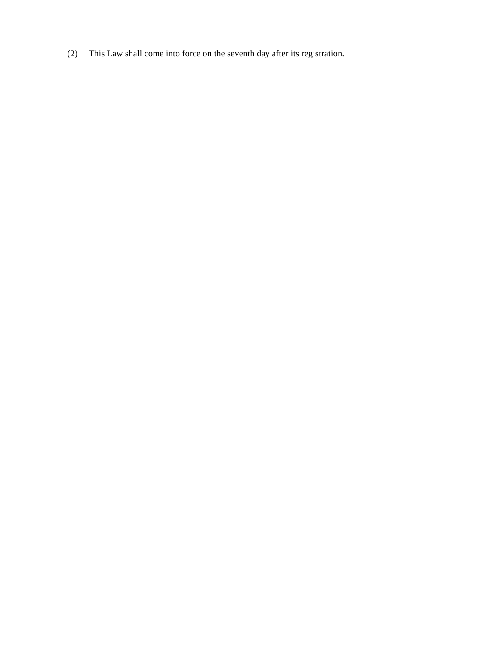(2) This Law shall come into force on the seventh day after its registration.